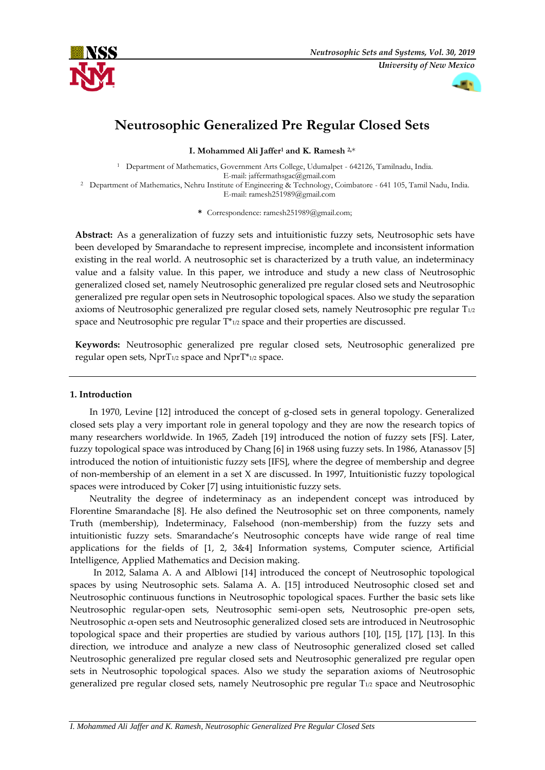



# **Neutrosophic Generalized Pre Regular Closed Sets**

**I. Mohammed Ali Jaffer<sup>1</sup> and K. Ramesh 2,**\*

<sup>1</sup> Department of Mathematics, Government Arts College, Udumalpet - 642126, Tamilnadu, India. E-mail: jaffermathsgac@gmail.com <sup>2</sup> Department of Mathematics, Nehru Institute of Engineering & Technology, Coimbatore - 641 105, Tamil Nadu, India.

E-mail: ramesh251989@gmail.com

**\*** Correspondence: ramesh251989@gmail.com;

**Abstract:** As a generalization of fuzzy sets and intuitionistic fuzzy sets, Neutrosophic sets have been developed by Smarandache to represent imprecise, incomplete and inconsistent information existing in the real world. A neutrosophic set is characterized by a truth value, an indeterminacy value and a falsity value. In this paper, we introduce and study a new class of Neutrosophic generalized closed set, namely Neutrosophic generalized pre regular closed sets and Neutrosophic generalized pre regular open sets in Neutrosophic topological spaces. Also we study the separation axioms of Neutrosophic generalized pre regular closed sets, namely Neutrosophic pre regular T1/2 space and Neutrosophic pre regular T\*1/2 space and their properties are discussed.

**Keywords:** Neutrosophic generalized pre regular closed sets, Neutrosophic generalized pre regular open sets,  $NprT_{1/2}$  space and  $NprT_{1/2}$  space.

## **1. Introduction**

In 1970, Levine [12] introduced the concept of g-closed sets in general topology. Generalized closed sets play a very important role in general topology and they are now the research topics of many researchers worldwide. In 1965, Zadeh [19] introduced the notion of fuzzy sets [FS]. Later, fuzzy topological space was introduced by Chang [6] in 1968 using fuzzy sets. In 1986, Atanassov [5] introduced the notion of intuitionistic fuzzy sets [IFS], where the degree of membership and degree of non-membership of an element in a set X are discussed. In 1997, Intuitionistic fuzzy topological spaces were introduced by Coker [7] using intuitionistic fuzzy sets.

Neutrality the degree of indeterminacy as an independent concept was introduced by Florentine Smarandache [8]. He also defined the Neutrosophic set on three components, namely Truth (membership), Indeterminacy, Falsehood (non-membership) from the fuzzy sets and intuitionistic fuzzy sets. Smarandache's Neutrosophic concepts have wide range of real time applications for the fields of [1, 2, 3&4] Information systems, Computer science, Artificial Intelligence, Applied Mathematics and Decision making.

In 2012, Salama A. A and Alblowi [14] introduced the concept of Neutrosophic topological spaces by using Neutrosophic sets. Salama A. A. [15] introduced Neutrosophic closed set and Neutrosophic continuous functions in Neutrosophic topological spaces. Further the basic sets like Neutrosophic regular-open sets, Neutrosophic semi-open sets, Neutrosophic pre-open sets, Neutrosophic α-open sets and Neutrosophic generalized closed sets are introduced in Neutrosophic topological space and their properties are studied by various authors [10], [15], [17], [13]. In this direction, we introduce and analyze a new class of Neutrosophic generalized closed set called Neutrosophic generalized pre regular closed sets and Neutrosophic generalized pre regular open sets in Neutrosophic topological spaces. Also we study the separation axioms of Neutrosophic generalized pre regular closed sets, namely Neutrosophic pre regular T1/2 space and Neutrosophic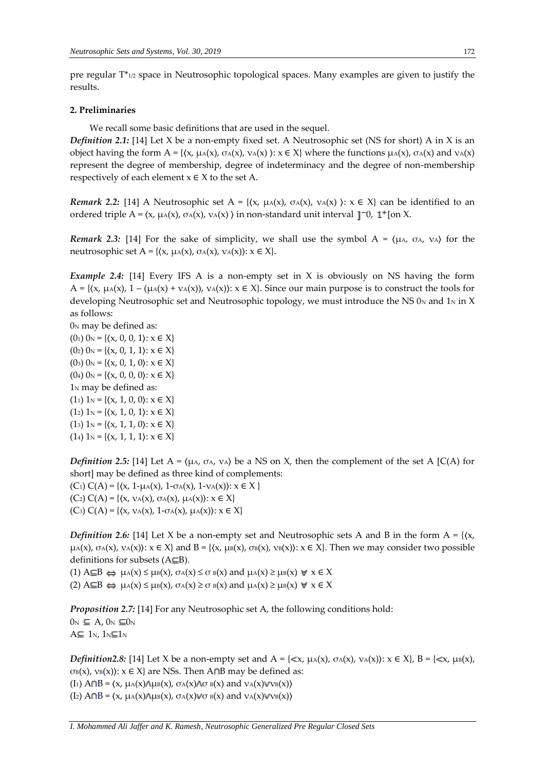pre regular T\*1/2 space in Neutrosophic topological spaces. Many examples are given to justify the results.

### **2. Preliminaries**

We recall some basic definitions that are used in the sequel.

*Definition 2.1:* [14] Let X be a non-empty fixed set. A Neutrosophic set (NS for short) A in X is an object having the form  $A = \{ \langle x, \mu_A(x), \sigma_A(x), \nu_A(x) \rangle : x \in X \}$  where the functions  $\mu_A(x), \sigma_A(x)$  and  $\nu_A(x)$ represent the degree of membership, degree of indeterminacy and the degree of non-membership respectively of each element  $x \in X$  to the set A.

*Remark* 2.2: [14] A Neutrosophic set A = { $(x, \mu_A(x), \sigma_A(x), \nu_A(x))$ :  $x \in X$ } can be identified to an ordered triple A =  $(x, μ_A(x), σ_A(x), ν_A(x))$  in non-standard unit interval 1<sup>-0</sup>, 1<sup>+</sup> [on X.

*Remark* 2.3: [14] For the sake of simplicity, we shall use the symbol  $A = \langle \mu_A, \sigma_A, \nu_A \rangle$  for the neutrosophic set A = { $(x, \mu_A(x), \sigma_A(x), \nu_A(x))$ : x ∈ X}.

*Example 2.4:* [14] Every IFS A is a non-empty set in X is obviously on NS having the form A = { $(x, \mu A(x), 1 - (\mu A(x) + \nu A(x)), \nu A(x))$ :  $x \in X$ }. Since our main purpose is to construct the tools for developing Neutrosophic set and Neutrosophic topology, we must introduce the NS  $0<sub>N</sub>$  and  $1<sub>N</sub>$  in X as follows:

 $0<sub>N</sub>$  may be defined as:  $(0<sub>1</sub>)$   $0<sub>N</sub> = \{(x, 0, 0, 1): x \in X\}$  $(0_2)$   $0_N = \{(x, 0, 1, 1): x \in X\}$  $(0<sub>3</sub>)$   $0<sub>N</sub> = \{(x, 0, 1, 0): x \in X\}$  $(0<sub>4</sub>)$   $0<sub>N</sub> = \{(x, 0, 0, 0): x \in X\}$ 1<sup>N</sup> may be defined as:  $(1_1) 1_N = \{(x, 1, 0, 0): x \in X\}$  $(1_2) 1_N = \{(x, 1, 0, 1): x \in X\}$ (13)  $1_N = \{(x, 1, 1, 0): x \in X\}$  $(14)$  1<sub>N</sub> = { $(x, 1, 1, 1)$ :  $x \in X$ }

*Definition* 2.5: [14] Let  $A = \langle \mu_A, \sigma_A, \nu_A \rangle$  be a NS on X, then the complement of the set A [C(A) for short] may be defined as three kind of complements: (C<sub>1</sub>)  $C(A) = \{(x, 1-\mu A(x), 1-\sigma A(x), 1-\nu A(x)) : x \in X \}$ (C<sub>2</sub>)  $C(A) = \{(x, v_A(x), \sigma_A(x), \mu_A(x)) : x \in X\}$ (C<sub>3</sub>) C(A) = { $(x, ν_A(x), 1-σ_A(x), μ_A(x))$ : x ∈ X}

*Definition* 2.6: [14] Let X be a non-empty set and Neutrosophic sets A and B in the form  $A = \{ \langle x, \rangle \}$  $\mu(A(x), \sigma_A(x), \nu_A(x))$ :  $x \in X$ } and  $B = \{(x, \mu_B(x), \sigma_B(x), \nu_B(x))$ :  $x \in X\}$ . Then we may consider two possible definitions for subsets  $(A \subseteq B)$ .

(1)  $A \subseteq B \Leftrightarrow \mu_A(x) \le \mu_B(x)$ ,  $\sigma_A(x) \le \sigma_B(x)$  and  $\mu_A(x) \ge \mu_B(x)$   $\forall x \in X$ (2)  $A \subseteq B \Leftrightarrow \mu_A(x) \le \mu_B(x)$ ,  $\sigma_A(x) \ge \sigma_B(x)$  and  $\mu_A(x) \ge \mu_B(x)$   $\forall x \in X$ 

*Proposition 2.7:* [14] For any Neutrosophic set A, the following conditions hold:  $0_N \subseteq A$ ,  $0_N \subseteq 0_N$  $A \subseteq 1_N$ ,  $1_N \subseteq 1_N$ 

*Definition2.8:* [14] Let X be a non-empty set and  $A = \{ \langle x, \mu_A(x), \sigma_A(x), \nu_A(x) \rangle : x \in X \}$ ,  $B = \{ \langle x, \mu_B(x), \sigma_A(x), \nu_A(x) \rangle : x \in X \}$  $\sigma$ B(x), νB(x)): x ∈ X} are NSs. Then A $\cap$ B may be defined as: (I<sub>1</sub>)  $A \cap B = \langle x, \mu_A(x) \land \mu_B(x), \sigma_A(x) \land \sigma_B(x) \rangle$  and  $v_A(x) \lor v_B(x)$ (I<sub>2</sub>)  $A \cap B = \langle x, \mu_A(x) \wedge \mu_B(x), \sigma_A(x) \vee \sigma_B(x) \rangle$  and  $v_A(x) \vee v_B(x)$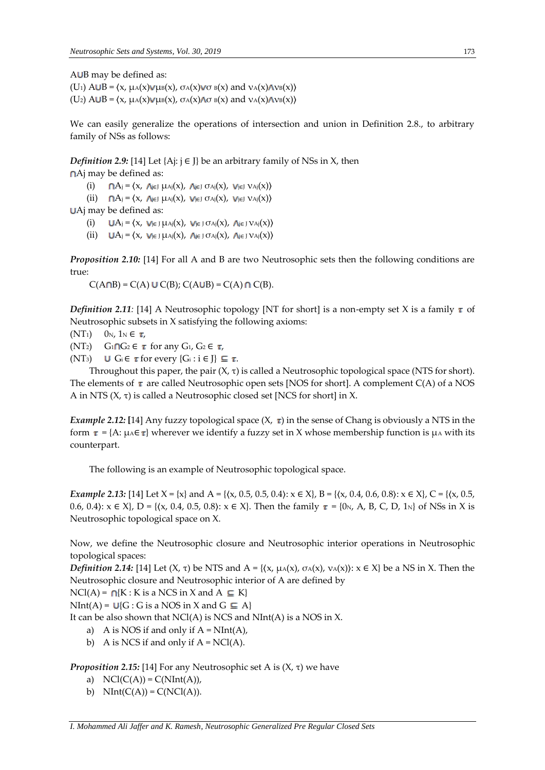$A \cup B$  may be defined as:

(U<sub>1</sub>)  $A \cup B = \langle x, \mu_A(x) \vee \mu_B(x), \sigma_A(x) \vee \sigma_B(x) \rangle$  and  $v_A(x) \wedge v_B(x)$ (U<sub>2</sub>)  $A \cup B = \langle x, \mu_A(x) \vee \mu_B(x), \sigma_A(x) \wedge \sigma_B(x) \rangle$  and  $v_A(x) \wedge v_B(x)$ 

We can easily generalize the operations of intersection and union in Definition 2.8., to arbitrary family of NSs as follows:

*Definition* 2.9: [14] Let {Aj:  $j \in J$ } be an arbitrary family of NSs in X, then

Aj may be defined as:

(i)  $\bigcap A_j = \langle x, \bigcap_{j \in J} \mu_{A_j}(x), \bigcap_{j \in J} \sigma_{A_j}(x), \bigcup_{j \in J} \nu_{A_j}(x) \rangle$ 

(ii)  $\bigcap A_j = \langle x, \bigcap_{j \in J} \mu_{Aj}(x), \bigcup_{j \in J} \sigma_{Aj}(x), \bigcup_{j \in J} \nu_{Aj}(x) \rangle$ 

Aj may be defined as:

(i)  $UA_j = \langle x, v_{j \in J} \mu_{Aj}(x), v_{j \in J} \sigma_{Aj}(x), \Lambda_{j \in J} v_{Aj}(x) \rangle$ 

(ii)  $UA_j = \langle x, v_{j \in J} \mu_{Aj}(x), v_{j \in J} \sigma_{Aj}(x), v_{j \in J} v_{Aj}(x) \rangle$ 

*Proposition 2.10:* [14] For all A and B are two Neutrosophic sets then the following conditions are true:

 $C(A \cap B) = C(A) \cup C(B)$ ;  $C(A \cup B) = C(A) \cap C(B)$ .

*Definition* 2.11: [14] A Neutrosophic topology [NT for short] is a non-empty set X is a family  $\tau$  of Neutrosophic subsets in X satisfying the following axioms:

 $(NT_1)$  0<sub>N</sub>, 1<sub>N</sub>  $\in \tau$ ,

(NT<sub>2</sub>)  $G_1 \cap G_2 \in \tau$  for any  $G_1$ ,  $G_2 \in \tau$ ,

(NT<sub>3</sub>) U  $G_i \in \tau$  for every  $\{G_i : i \in J\} \subseteq \tau$ .

Throughout this paper, the pair  $(X, \tau)$  is called a Neutrosophic topological space (NTS for short). The elements of  $\tau$  are called Neutrosophic open sets [NOS for short]. A complement C(A) of a NOS A in NTS  $(X, \tau)$  is called a Neutrosophic closed set [NCS for short] in X.

*Example* 2.12: [14] Any fuzzy topological space  $(X, \tau)$  in the sense of Chang is obviously a NTS in the form  $\tau = \{A: \mu A \in \tau\}$  wherever we identify a fuzzy set in X whose membership function is  $\mu A$  with its counterpart.

The following is an example of Neutrosophic topological space.

*Example* 2.13: [14] Let  $X = \{x\}$  and  $A = \{(x, 0.5, 0.5, 0.4): x \in X\}$ ,  $B = \{(x, 0.4, 0.6, 0.8): x \in X\}$ ,  $C = \{(x, 0.5, 0.4): x \in X\}$ 0.6, 0.4):  $x \in X$ , D = { $\{x, 0.4, 0.5, 0.8\}$ :  $x \in X$ }. Then the family  $\tau = \{0_N, A, B, C, D, 1_N\}$  of NSs in X is Neutrosophic topological space on X.

Now, we define the Neutrosophic closure and Neutrosophic interior operations in Neutrosophic topological spaces:

*Definition* 2.14: [14] Let  $(X, \tau)$  be NTS and  $A = \{(x, \mu_A(x), \sigma_A(x), \nu_A(x)) : x \in X\}$  be a NS in X. Then the Neutrosophic closure and Neutrosophic interior of A are defined by

 $NCI(A) = \bigcap\{K : K \text{ is a NCS in } X \text{ and } A \subseteq K\}$ 

 $NInt(A) = U(G : G \text{ is a NOS in } X \text{ and } G \subseteq A$ 

It can be also shown that  $NCI(A)$  is NCS and  $NInt(A)$  is a NOS in X.

- a) A is NOS if and only if  $A = NInt(A)$ ,
- b) A is NCS if and only if  $A = NCl(A)$ .

*Proposition* 2.15: [14] For any Neutrosophic set A is (X, τ) we have

*I. Mohammed Ali Jaffer and K. Ramesh, Neutrosophic Generalized Pre Regular Closed Sets*

- a)  $NCl(C(A)) = C(NInt(A)),$
- b)  $NInt(C(A)) = C(NCl(A)).$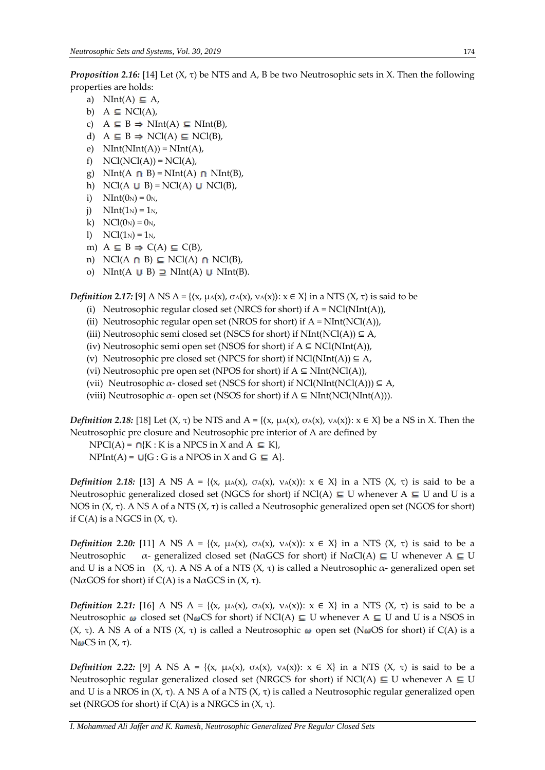*Proposition 2.16:* [14] Let (X, τ) be NTS and A, B be two Neutrosophic sets in X. Then the following properties are holds:

- a) NInt(A)  $\subseteq$  A,
- b)  $A \subseteq NC(A)$ ,
- c)  $A \subseteq B \Rightarrow NInt(A) \subseteq NInt(B),$
- d)  $A \subseteq B \Rightarrow NC(A) \subseteq NC(B)$ ,
- e)  $NInt(NInt(A)) = NInt(A),$
- f)  $NCl(NCl(A)) = NCl(A)$ ,
- g) NInt(A  $\cap$  B) = NInt(A)  $\cap$  NInt(B),
- h) NCl(A  $\cup$  B) = NCl(A)  $\cup$  NCl(B),
- i)  $NInt(0_N) = 0_N$ ,
- j)  $NInt(1_N) = 1_{N}$
- k)  $NCl(0_N) = 0_N$ ,
- 1)  $NCl(1_N) = 1_N$ ,
- m)  $A \subseteq B \Rightarrow C(A) \subseteq C(B)$ ,
- n) NCl(A  $\cap$  B)  $\subseteq$  NCl(A)  $\cap$  NCl(B),
- o) NInt(A  $\cup$  B)  $\supseteq$  NInt(A)  $\cup$  NInt(B).

*Definition* 2.17: [9] A NS A = { $(x, \mu A(x), \sigma A(x), \nu A(x))$ :  $x \in X$ } in a NTS  $(X, \tau)$  is said to be

- (i) Neutrosophic regular closed set (NRCS for short) if  $A = NCI(NInt(A))$ ,
- (ii) Neutrosophic regular open set (NROS for short) if  $A = NInt(NCl(A)),$
- (iii) Neutrosophic semi closed set (NSCS for short) if  $NInt(NCl(A)) \subseteq A$ ,
- (iv) Neutrosophic semi open set (NSOS for short) if  $A \subseteq NCI(NInt(A)),$
- (v) Neutrosophic pre closed set (NPCS for short) if  $NCl(NInt(A)) \subseteq A$ ,
- (vi) Neutrosophic pre open set (NPOS for short) if  $A \subseteq NInt(NCl(A)),$
- (vii) Neutrosophic  $\alpha$  closed set (NSCS for short) if NCl(NInt(NCl(A)))  $\subseteq$  A,
- (viii) Neutrosophic  $\alpha$  open set (NSOS for short) if  $A \subseteq NInt(NCl(NInt(A))).$

*Definition* 2.18: [18] Let  $(X, \tau)$  be NTS and  $A = \{(x, \mu_A(x), \sigma_A(x), \nu_A(x)) : x \in X\}$  be a NS in X. Then the Neutrosophic pre closure and Neutrosophic pre interior of A are defined by

 $NPCl(A) = \bigcap \{K : K \text{ is a } NPCS \text{ in } X \text{ and } A \subseteq K\},\$  $NPht(A) = U{G : G is a NPOS in X and G \subseteq A}.$ 

*Definition* 2.18: [13] A NS A = { $(x, \mu A(x), \sigma A(x), \nu A(x))$ :  $x \in X$ } in a NTS  $(X, \tau)$  is said to be a Neutrosophic generalized closed set (NGCS for short) if NCl(A)  $\subseteq$  U whenever A  $\subseteq$  U and U is a NOS in  $(X, τ)$ . A NS A of a NTS  $(X, τ)$  is called a Neutrosophic generalized open set (NGOS for short) if  $C(A)$  is a NGCS in  $(X, τ)$ .

*Definition* 2.20: [11] A NS A = { $(x, \mu A(x), \sigma A(x), \nu A(x))$ :  $x \in X$ } in a NTS  $(X, \tau)$  is said to be a Neutrosophic  $\alpha$ - generalized closed set (N $\alpha$ GCS for short) if N $\alpha$ Cl(A)  $\subseteq U$  whenever A  $\subseteq U$ and U is a NOS in (X, τ). A NS A of a NTS (X, τ) is called a Neutrosophic  $\alpha$ - generalized open set (N $\alpha$ GOS for short) if C(A) is a N $\alpha$ GCS in (X,  $\tau$ ).

*Definition* 2.21: [16] A NS A = { $(x, \mu A(x), \sigma A(x), \nu A(x))$ :  $x \in X$ } in a NTS  $(X, \tau)$  is said to be a Neutrosophic  $\omega$  closed set (N $\omega$ CS for short) if NCl(A)  $\subseteq$  U whenever A  $\subseteq$  U and U is a NSOS in (X, τ). A NS A of a NTS (X, τ) is called a Neutrosophic  $ω$  open set (NωOS for short) if C(A) is a  $N$ ωCS in  $(X, τ)$ .

*Definition* 2.22: [9] A NS A = { $(x, \mu A(x), \sigma A(x), \nu A(x))$ :  $x \in X$ } in a NTS  $(X, \tau)$  is said to be a Neutrosophic regular generalized closed set (NRGCS for short) if NCl(A)  $\subseteq$  U whenever A  $\subseteq$  U and U is a NROS in  $(X, τ)$ . A NS A of a NTS  $(X, τ)$  is called a Neutrosophic regular generalized open set (NRGOS for short) if  $C(A)$  is a NRGCS in  $(X, τ)$ .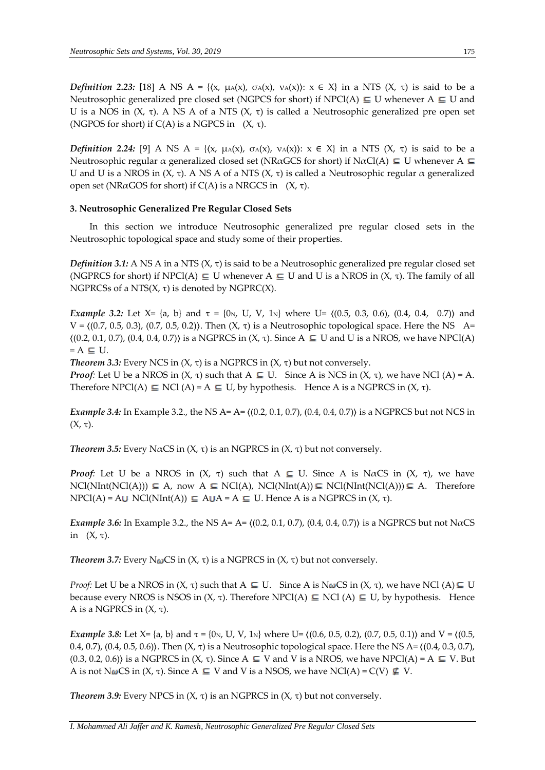*Definition* 2.23: [18] A NS A = { $(x, \mu A(x), \sigma A(x), \nu A(x))$ :  $x \in X$ } in a NTS  $(X, \tau)$  is said to be a Neutrosophic generalized pre closed set (NGPCS for short) if NPCl(A)  $\subseteq U$  whenever A  $\subseteq U$  and U is a NOS in  $(X, \tau)$ . A NS A of a NTS  $(X, \tau)$  is called a Neutrosophic generalized pre open set (NGPOS for short) if  $C(A)$  is a NGPCS in  $(X, \tau)$ .

*Definition* 2.24: [9] A NS A = { $(x, \mu A(x), \sigma A(x), \nu A(x))$ :  $x \in X$ } in a NTS  $(X, \tau)$  is said to be a Neutrosophic regular  $\alpha$  generalized closed set (NRaGCS for short) if NaCl(A)  $\subseteq$  U whenever A  $\subseteq$ U and U is a NROS in (X, τ). A NS A of a NTS (X, τ) is called a Neutrosophic regular  $\alpha$  generalized open set (NRαGOS for short) if  $C(A)$  is a NRGCS in (X, τ).

## **3. Neutrosophic Generalized Pre Regular Closed Sets**

In this section we introduce Neutrosophic generalized pre regular closed sets in the Neutrosophic topological space and study some of their properties.

*Definition* 3.1: A NS A in a NTS  $(X, \tau)$  is said to be a Neutrosophic generalized pre regular closed set (NGPRCS for short) if NPCl(A)  $\subseteq$  U whenever A  $\subseteq$  U and U is a NROS in (X,  $\tau$ ). The family of all NGPRCSs of a NTS $(X, \tau)$  is denoted by NGPRC $(X)$ .

*Example* 3.2: Let  $X = \{a, b\}$  and  $\tau = \{0, v, U, V, 1, w\}$  where  $U = \{(0.5, 0.3, 0.6), (0.4, 0.4, 0.7)\}$  and V =  $($ (0.7, 0.5, 0.3), (0.7, 0.5, 0.2)). Then  $(X, τ)$  is a Neutrosophic topological space. Here the NS A=  $\langle (0.2, 0.1, 0.7), (0.4, 0.4, 0.7) \rangle$  is a NGPRCS in  $(X, \tau)$ . Since A  $\subseteq U$  and U is a NROS, we have NPCl(A)  $= A \subseteq U$ .

*Theorem* 3.3: Every NCS in  $(X, τ)$  is a NGPRCS in  $(X, τ)$  but not conversely.

*Proof:* Let U be a NROS in  $(X, \tau)$  such that  $A \subseteq U$ . Since A is NCS in  $(X, \tau)$ , we have NCl  $(A) = A$ . Therefore NPCl(A)  $\subseteq$  NCl (A) = A  $\subseteq$  U, by hypothesis. Hence A is a NGPRCS in  $(X, \tau)$ .

*Example* 3.4: In Example 3.2., the NS A= A=  $\langle (0.2, 0.1, 0.7), (0.4, 0.4, 0.7) \rangle$  is a NGPRCS but not NCS in (X, τ).

*Theorem* 3.5: Every NαCS in  $(X, \tau)$  is an NGPRCS in  $(X, \tau)$  but not conversely.

*Proof:* Let U be a NROS in  $(X, \tau)$  such that  $A \subseteq U$ . Since A is NaCS in  $(X, \tau)$ , we have  $NCl(NInt(NCl(A))) \subseteq A$ , now  $A \subseteq NCl(A)$ ,  $NCl(NInt(A)) \subseteq NCl(NInt(NCl(A))) \subseteq A$ . Therefore  $NPCI(A) = AU NCI(NInt(A)) \subseteq AUA = A \subseteq U$ . Hence A is a NGPRCS in  $(X, \tau)$ .

*Example* 3.6: In Example 3.2., the NS A= A=  $((0.2, 0.1, 0.7), (0.4, 0.4, 0.7))$  is a NGPRCS but not N $\alpha$ CS in  $(X, \tau)$ .

*Theorem* 3.7: Every  $N\omega CS$  in  $(X, \tau)$  is a NGPRCS in  $(X, \tau)$  but not conversely.

*Proof:* Let U be a NROS in  $(X, \tau)$  such that  $A \subseteq U$ . Since A is  $N\omega CS$  in  $(X, \tau)$ , we have NCl  $(A) \subseteq U$ because every NROS is NSOS in  $(X, \tau)$ . Therefore NPCl(A)  $\subseteq$  NCl (A)  $\subseteq$  U, by hypothesis. Hence A is a NGPRCS in  $(X, τ)$ .

*Example* 3.8: Let X= {a, b} and  $\tau$  = {0<sub>N</sub>, U, V, 1<sub>N</sub>} where U=  $\{(0.6, 0.5, 0.2), (0.7, 0.5, 0.1)\}$  and V =  $\{(0.5, 0.5), (0.7, 0.5, 0.1)\}$ 0.4, 0.7), (0.4, 0.5, 0.6)). Then  $(X, \tau)$  is a Neutrosophic topological space. Here the NS A=  $(0.4, 0.3, 0.7)$ ,  $(0.3, 0.2, 0.6)$  is a NGPRCS in  $(X, \tau)$ . Since A  $\subseteq$  V and V is a NROS, we have NPCl(A) = A  $\subseteq$  V. But A is not  $N\omega CS$  in  $(X, \tau)$ . Since  $A \subseteq V$  and V is a NSOS, we have  $NCI(A) = C(V) \nsubseteq V$ .

*Theorem* 3.9: Every NPCS in  $(X, \tau)$  is an NGPRCS in  $(X, \tau)$  but not conversely.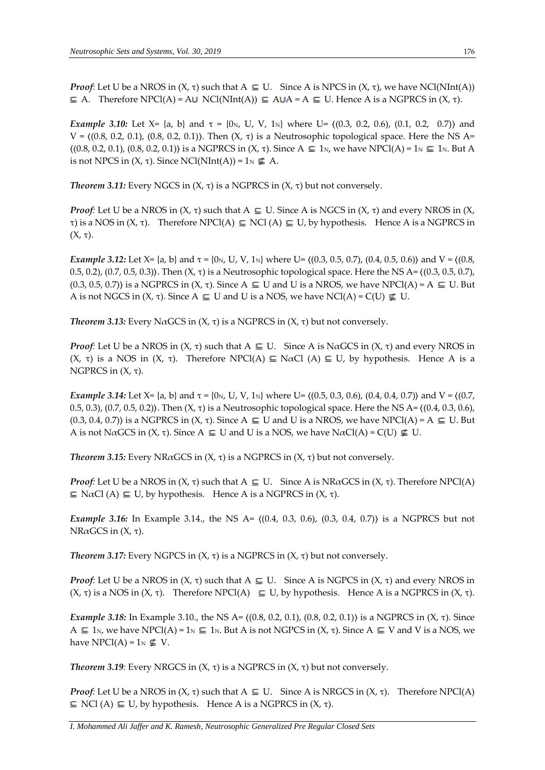*Proof*: Let U be a NROS in  $(X, \tau)$  such that  $A \subseteq U$ . Since A is NPCS in  $(X, \tau)$ , we have NCl(NInt(A))  $\subseteq$  A. Therefore NPCl(A) = A $\cup$  NCl(NInt(A))  $\subseteq$  A $\cup$ A = A  $\subseteq$  U. Hence A is a NGPRCS in (X,  $\tau$ ).

*Example* 3.10: Let X= {a, b} and τ = {0<sub>N</sub>, U, V, 1<sub>N</sub>} where U=  $($ (0.3, 0.2, 0.6), (0.1, 0.2, 0.7) $)$  and  $V = \{(0.8, 0.2, 0.1), (0.8, 0.2, 0.1)\}\$ . Then  $(X, \tau)$  is a Neutrosophic topological space. Here the NS A=  $\langle (0.8, 0.2, 0.1), (0.8, 0.2, 0.1) \rangle$  is a NGPRCS in  $(X, \tau)$ . Since  $A \subseteq 1_N$ , we have NPCl(A) = 1<sub>N</sub>  $\subseteq 1_N$ . But A is not NPCS in  $(X, \tau)$ . Since NCl(NInt(A)) = 1<sub>N</sub>  $\boldsymbol{\underline{\epsilon}}$  A.

*Theorem* 3.11: Every NGCS in  $(X, τ)$  is a NGPRCS in  $(X, τ)$  but not conversely.

*Proof*: Let U be a NROS in  $(X, \tau)$  such that  $A \subseteq U$ . Since A is NGCS in  $(X, \tau)$  and every NROS in  $(X, \tau)$ τ) is a NOS in (X, τ). Therefore NPCl(A)  $\subseteq$  NCl (A)  $\subseteq$  U, by hypothesis. Hence A is a NGPRCS in (X, τ).

*Example* 3.12: Let  $X = \{a, b\}$  and  $\tau = \{0_N, U, V, 1_N\}$  where  $U = \{(0.3, 0.5, 0.7), (0.4, 0.5, 0.6)\}$  and  $V = \{(0.8, 0.5, 0.6), (0.4, 0.5, 0.6)\}$ 0.5, 0.2), (0.7, 0.5, 0.3)). Then  $(X, \tau)$  is a Neutrosophic topological space. Here the NS A=  $(0.3, 0.5, 0.7)$ ,  $(0.3, 0.5, 0.7)$  is a NGPRCS in  $(X, \tau)$ . Since A  $\subseteq$  U and U is a NROS, we have NPCl(A) = A  $\subseteq$  U. But A is not NGCS in  $(X, \tau)$ . Since  $A \subseteq U$  and U is a NOS, we have NCl(A) = C(U)  $\nsubseteq U$ .

*Theorem* 3.13: Every NαGCS in  $(X, τ)$  is a NGPRCS in  $(X, τ)$  but not conversely.

*Proof*: Let U be a NROS in  $(X, \tau)$  such that  $A \subseteq U$ . Since A is N $\alpha$ GCS in  $(X, \tau)$  and every NROS in (X, τ) is a NOS in (X, τ). Therefore NPCl(A)  $\subseteq$  NαCl (A)  $\subseteq$  U, by hypothesis. Hence A is a NGPRCS in  $(X, τ)$ .

*Example* 3.14: Let  $X = \{a, b\}$  and  $\tau = \{0_N, U, V, 1_N\}$  where U=  $\{(0.5, 0.3, 0.6), (0.4, 0.4, 0.7)\}$  and V =  $\{(0.7, 0.4, 0.7), (0.4, 0.4, 0.7)\}$ 0.5, 0.3), (0.7, 0.5, 0.2)). Then  $(X, \tau)$  is a Neutrosophic topological space. Here the NS A=  $(0.4, 0.3, 0.6)$ ,  $(0.3, 0.4, 0.7)$  is a NGPRCS in  $(X, \tau)$ . Since A  $\subseteq$  U and U is a NROS, we have NPCl(A) = A  $\subseteq$  U. But A is not N $\alpha$ GCS in  $(X, \tau)$ . Since  $A \subseteq U$  and U is a NOS, we have N $\alpha$ Cl(A) = C(U)  $\notin U$ .

*Theorem* 3.15: Every NRαGCS in  $(X, τ)$  is a NGPRCS in  $(X, τ)$  but not conversely.

*Proof*: Let U be a NROS in  $(X, \tau)$  such that  $A \subseteq U$ . Since A is NR $\alpha$ GCS in  $(X, \tau)$ . Therefore NPCl(A)  $\subseteq$  N $\alpha$ Cl (A)  $\subseteq$  U, by hypothesis. Hence A is a NGPRCS in  $(X, \tau)$ .

*Example* 3.16: In Example 3.14., the NS A=  $((0.4, 0.3, 0.6), (0.3, 0.4, 0.7))$  is a NGPRCS but not NRαGCS in (X, τ).

*Theorem* 3.17: Every NGPCS in  $(X, τ)$  is a NGPRCS in  $(X, τ)$  but not conversely.

*Proof*: Let U be a NROS in  $(X, \tau)$  such that  $A \subseteq U$ . Since A is NGPCS in  $(X, \tau)$  and every NROS in (X, τ) is a NOS in (X, τ). Therefore NPCl(A)  $\subseteq$  U, by hypothesis. Hence A is a NGPRCS in (X, τ).

*Example* 3.18: In Example 3.10., the NS A=  $(0.8, 0.2, 0.1)$ ,  $(0.8, 0.2, 0.1)$  is a NGPRCS in (X, τ). Since A  $\subseteq$  1<sub>N</sub>, we have NPCl(A) = 1<sub>N</sub>  $\subseteq$  1<sub>N</sub>. But A is not NGPCS in (X, τ). Since A  $\subseteq$  V and V is a NOS, we have NPCl(A) =  $1_N \nsubseteq V$ .

*Theorem* 3.19*:* Every NRGCS in  $(X, τ)$  is a NGPRCS in  $(X, τ)$  but not conversely.

*Proof:* Let U be a NROS in  $(X, \tau)$  such that  $A \subseteq U$ . Since A is NRGCS in  $(X, \tau)$ . Therefore NPCl(A)  $\subseteq$  NCl (A)  $\subseteq$  U, by hypothesis. Hence A is a NGPRCS in  $(X, \tau)$ .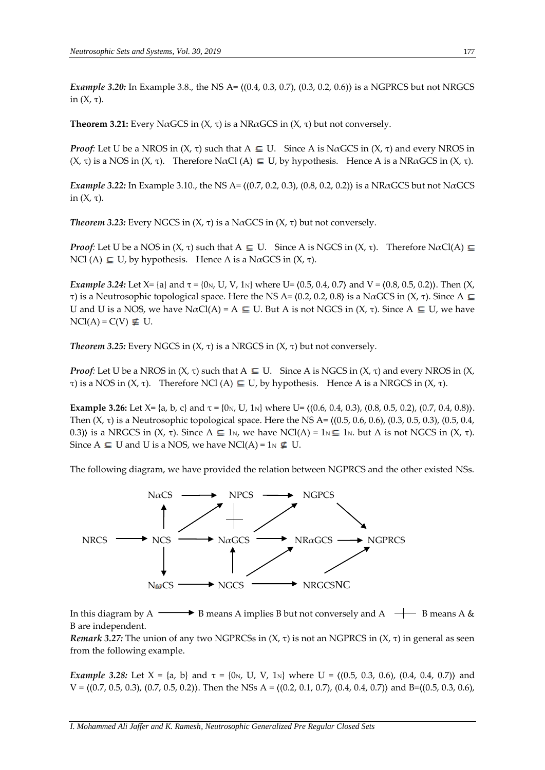*Example 3.20:* In Example 3.8., the NS A= 〈(0.4, 0.3, 0.7), (0.3, 0.2, 0.6)〉 is a NGPRCS but not NRGCS in (X, τ).

**Theorem 3.21:** Every NaGCS in  $(X, \tau)$  is a NRaGCS in  $(X, \tau)$  but not conversely.

*Proof*: Let U be a NROS in  $(X, \tau)$  such that  $A \subseteq U$ . Since A is N $\alpha$ GCS in  $(X, \tau)$  and every NROS in (X, τ) is a NOS in (X, τ). Therefore N $\alpha$ Cl (A)  $\subseteq U$ , by hypothesis. Hence A is a NR $\alpha$ GCS in (X, τ).

*Example* 3.22: In Example 3.10., the NS A=  $(0.7, 0.2, 0.3)$ ,  $(0.8, 0.2, 0.2)$  is a NRαGCS but not NαGCS in (X, τ).

*Theorem* 3.23: Every NGCS in  $(X, \tau)$  is a N $\alpha$ GCS in  $(X, \tau)$  but not conversely.

*Proof:* Let U be a NOS in  $(X, \tau)$  such that  $A \subseteq U$ . Since A is NGCS in  $(X, \tau)$ . Therefore N $\alpha Cl(A) \subseteq$ NCl (A)  $\subseteq U$ , by hypothesis. Hence A is a N $\alpha$ GCS in  $(X, \tau)$ .

*Example* 3.24: Let  $X = \{a\}$  and  $\tau = \{0_N, U, V, 1_N\}$  where U=  $(0.5, 0.4, 0.7)$  and V =  $(0.8, 0.5, 0.2)$ ). Then  $(X, \tau)$ τ) is a Neutrosophic topological space. Here the NS A=  $(0.2, 0.2, 0.8)$  is a NαGCS in  $(X, τ)$ . Since A  $\subseteq$ U and U is a NOS, we have  $N\alpha Cl(A) = A \subseteq U$ . But A is not NGCS in  $(X, \tau)$ . Since  $A \subseteq U$ , we have  $NCl(A) = C(V) \not\subseteq U$ .

*Theorem* 3.25: Every NGCS in  $(X, τ)$  is a NRGCS in  $(X, τ)$  but not conversely.

*Proof*: Let U be a NROS in  $(X, \tau)$  such that  $A \subseteq U$ . Since A is NGCS in  $(X, \tau)$  and every NROS in  $(X, \tau)$ τ) is a NOS in  $(X, τ)$ . Therefore NCl  $(A) ⊆ U$ , by hypothesis. Hence A is a NRGCS in  $(X, τ)$ .

**Example 3.26:** Let  $X = \{a, b, c\}$  and  $\tau = \{0_N, U, 1_N\}$  where  $U = \{(0.6, 0.4, 0.3), (0.8, 0.5, 0.2), (0.7, 0.4, 0.8)\}$ . Then  $(X, τ)$  is a Neutrosophic topological space. Here the NS A=  $(0.5, 0.6, 0.6)$ ,  $(0.3, 0.5, 0.3)$ ,  $(0.5, 0.4, 0.5)$ 0.3)) is a NRGCS in  $(X, \tau)$ . Since  $A \subseteq 1_N$ , we have NCl(A) = 1<sub>N</sub>  $\subseteq 1_N$ . but A is not NGCS in  $(X, \tau)$ . Since  $A \subseteq U$  and U is a NOS, we have NCl(A) = 1 $N \nsubseteq U$ .

The following diagram, we have provided the relation between NGPRCS and the other existed NSs.



In this diagram by A  $\longrightarrow$  B means A implies B but not conversely and A  $\rightarrow$  B means A & B are independent.

*Remark* 3.27: The union of any two NGPRCSs in  $(X, \tau)$  is not an NGPRCS in  $(X, \tau)$  in general as seen from the following example.

*Example* 3.28: Let  $X = \{a, b\}$  and  $\tau = \{0 \mid N, U, V, 1 \mid N\}$  where  $U = \{(0.5, 0.3, 0.6), (0.4, 0.4, 0.7)\}$  and  $V = \{(0.7, 0.5, 0.3), (0.7, 0.5, 0.2)\}\$ . Then the NSs A =  $\{(0.2, 0.1, 0.7), (0.4, 0.4, 0.7)\}$  and B= $\{(0.5, 0.3, 0.6),$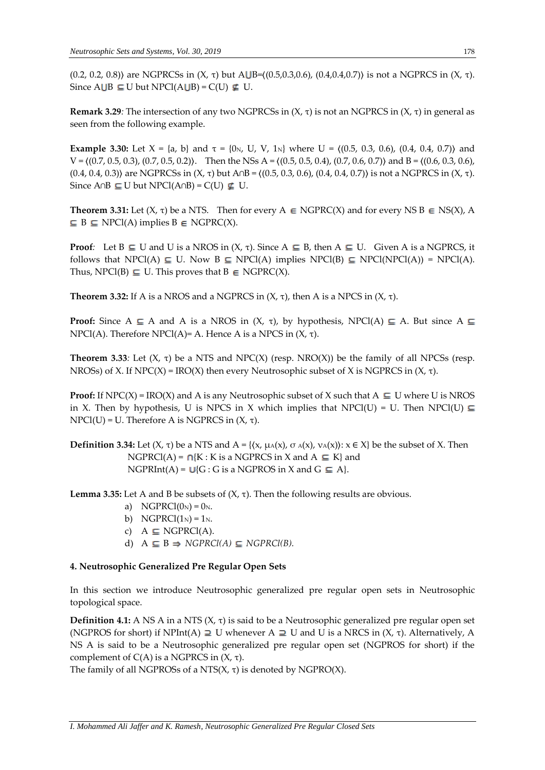(0.2, 0.2, 0.8)) are NGPRCSs in  $(X, \tau)$  but AUB= $((0.5, 0.3, 0.6), (0.4, 0.4, 0.7))$  is not a NGPRCS in  $(X, \tau)$ . Since  $A \cup B \subseteq U$  but NPCl( $A \cup B$ ) = C(U)  $\nsubseteq U$ .

**Remark 3.29***:* The intersection of any two NGPRCSs in (X, τ) is not an NGPRCS in (X, τ) in general as seen from the following example.

**Example 3.30:** Let  $X = \{a, b\}$  and  $\tau = \{0_N, U, V, 1_N\}$  where  $U = \{(0.5, 0.3, 0.6), (0.4, 0.4, 0.7)\}$  and  $V = \{(0.7, 0.5, 0.3), (0.7, 0.5, 0.2)\}.$  Then the NSs A =  $\{(0.5, 0.5, 0.4), (0.7, 0.6, 0.7)\}$  and B =  $\{(0.6, 0.3, 0.6),$ (0.4, 0.4, 0.3)〉 are NGPRCSs in (X, τ) but A∩B = 〈(0.5, 0.3, 0.6), (0.4, 0.4, 0.7)〉 is not a NGPRCS in (X, τ). Since A∩B  $\subseteq$  U but NPCl(A∩B) = C(U)  $\nsubseteq$  U.

**Theorem 3.31:** Let  $(X, \tau)$  be a NTS. Then for every A  $\in$  NGPRC(X) and for every NS B  $\in$  NS(X), A  $\subseteq$  B  $\subseteq$  NPCl(A) implies B  $\in$  NGPRC(X).

**Proof**: Let  $B \subseteq U$  and U is a NROS in  $(X, \tau)$ . Since  $A \subseteq B$ , then  $A \subseteq U$ . Given A is a NGPRCS, it follows that NPCl(A)  $\subseteq$  U. Now B  $\subseteq$  NPCl(A) implies NPCl(B)  $\subseteq$  NPCl(NPCl(A)) = NPCl(A). Thus, NPCl(B)  $\subseteq U$ . This proves that  $B \in NGPRC(X)$ .

**Theorem 3.32:** If A is a NROS and a NGPRCS in  $(X, \tau)$ , then A is a NPCS in  $(X, \tau)$ .

**Proof:** Since  $A \subseteq A$  and A is a NROS in  $(X, \tau)$ , by hypothesis, NPCl(A)  $\subseteq A$ . But since  $A \subseteq$ NPCl(A). Therefore NPCl(A)= A. Hence A is a NPCS in (X, τ).

**Theorem 3.33**: Let  $(X, \tau)$  be a NTS and NPC $(X)$  (resp. NRO $(X)$ ) be the family of all NPCSs (resp. NROSs) of X. If  $NPC(X) = \text{IRO}(X)$  then every Neutrosophic subset of X is NGPRCS in  $(X, \tau)$ .

**Proof:** If NPC(X) = IRO(X) and A is any Neutrosophic subset of X such that  $A \subseteq U$  where U is NROS in X. Then by hypothesis, U is NPCS in X which implies that NPCl(U) = U. Then NPCl(U)  $\subseteq$ NPCl(U) = U. Therefore A is NGPRCS in (X, τ).

**Definition 3.34:** Let  $(X, \tau)$  be a NTS and A = { $\{x, \mu_A(x), \sigma_A(x), \nu_A(x)\}$ :  $x \in X$ } be the subset of X. Then  $NGPRCI(A) = \bigcap{K : K \text{ is a NGPRCS in X and A } \subseteq K}$  and  $NGPRInt(A) = U\{G : G \text{ is a NGPROS in } X \text{ and } G \subseteq A\}.$ 

**Lemma 3.35:** Let A and B be subsets of  $(X, τ)$ . Then the following results are obvious.

- a) NGPRCl $(0_N) = 0_N$ .
- b) NGPRCl $(1_N) = 1_N$ .
- c)  $A \subseteq NGPRCI(A)$ .
- d)  $A \subseteq B \Rightarrow NGPRCl(A) \subseteq NGPRCl(B).$

#### **4. Neutrosophic Generalized Pre Regular Open Sets**

In this section we introduce Neutrosophic generalized pre regular open sets in Neutrosophic topological space.

**Definition 4.1:** A NS A in a NTS  $(X, \tau)$  is said to be a Neutrosophic generalized pre regular open set (NGPROS for short) if NPInt(A)  $\supseteq U$  whenever A  $\supseteq U$  and U is a NRCS in (X, τ). Alternatively, A NS A is said to be a Neutrosophic generalized pre regular open set (NGPROS for short) if the complement of  $C(A)$  is a NGPRCS in  $(X, τ)$ .

The family of all NGPROSs of a NTS $(X, \tau)$  is denoted by NGPRO $(X)$ .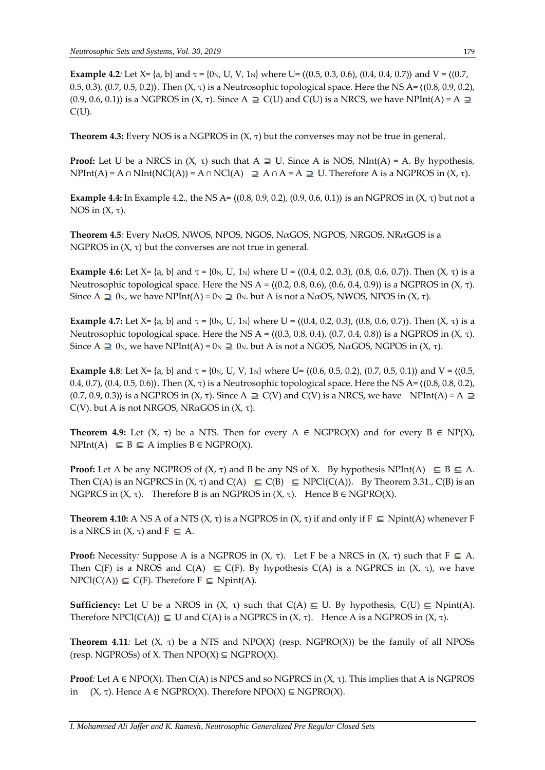**Example 4.2***:* Let X= {a, b} and  $\tau$  = {0<sub>N</sub>, U, V, 1<sub>N</sub>} where U=  $((0.5, 0.3, 0.6), (0.4, 0.4, 0.7))$  and V =  $((0.7, 0.4, 0.7))$ 0.5, 0.3), (0.7, 0.5, 0.2)). Then  $(X, \tau)$  is a Neutrosophic topological space. Here the NS A=  $(0.8, 0.9, 0.2)$ ,  $(0.9, 0.6, 0.1)$ ) is a NGPROS in  $(X, \tau)$ . Since A  $\supseteq C(U)$  and  $C(U)$  is a NRCS, we have NPInt(A) = A  $\supseteq$  $C(U)$ .

**Theorem 4.3:** Every NOS is a NGPROS in  $(X, \tau)$  but the converses may not be true in general.

**Proof:** Let U be a NRCS in  $(X, \tau)$  such that  $A \supseteq U$ . Since A is NOS, NInt(A) = A. By hypothesis, NPInt(A) = A ∩ NInt(NCl(A)) = A ∩ NCl(A)  $\supseteq$  A ∩ A = A  $\supseteq$  U. Therefore A is a NGPROS in (X, τ).

**Example 4.4:** In Example 4.2., the NS A=  $($ (0.8, 0.9, 0.2), (0.9, 0.6, 0.1)) is an NGPROS in (X, τ) but not a NOS in  $(X, τ)$ .

**Theorem 4.5***:* Every NαOS, NWOS, NPOS, NGOS, NαGOS, NGPOS, NRGOS, NRαGOS is a NGPROS in  $(X, \tau)$  but the converses are not true in general.

**Example 4.6:** Let X= {a, b} and  $\tau$  = {0<sub>N</sub>, U, 1<sub>N</sub>} where U = ((0.4, 0.2, 0.3), (0.8, 0.6, 0.7)). Then (X,  $\tau$ ) is a Neutrosophic topological space. Here the NS A =  $(0.2, 0.8, 0.6)$ ,  $(0.6, 0.4, 0.9)$  is a NGPROS in  $(X, τ)$ . Since A  $\supseteq$  0<sub>N</sub>, we have NPInt(A) = 0<sub>N</sub>  $\supseteqeq$  0<sub>N</sub>. but A is not a N $\alpha$ OS, NWOS, NPOS in (X,  $\tau$ ).

**Example 4.7:** Let X= {a, b} and  $\tau$  = {0<sub>N</sub>, U, 1<sub>N</sub>} where U = {(0.4, 0.2, 0.3), (0.8, 0.6, 0.7)}. Then (X,  $\tau$ ) is a Neutrosophic topological space. Here the NS A =  $\{(0.3, 0.8, 0.4), (0.7, 0.4, 0.8)\}$  is a NGPROS in  $(X, τ)$ . Since A  $\supseteq$  0<sub>N</sub>, we have NPInt(A) = 0<sub>N</sub>  $\supseteqeq$  0<sub>N</sub>. but A is not a NGOS, NaGOS, NGPOS in (X,  $\tau$ ).

**Example 4.8**: Let X= {a, b} and  $\tau$  = {0<sub>N</sub>, U, V, 1<sub>N</sub>} where U=  $\{(0.6, 0.5, 0.2), (0.7, 0.5, 0.1)\}$  and V =  $\{(0.5, 0.5), (0.7, 0.5), (0.7, 0.5)\}$ 0.4, 0.7), (0.4, 0.5, 0.6)). Then  $(X, \tau)$  is a Neutrosophic topological space. Here the NS A=  $(0.8, 0.8, 0.2)$ ,  $(0.7, 0.9, 0.3)$ ) is a NGPROS in  $(X, \tau)$ . Since A  $\supseteq$  C(V) and C(V) is a NRCS, we have NPInt(A) = A  $\supseteq$ C(V). but A is not NRGOS, NRαGOS in (X, τ).

**Theorem 4.9:** Let  $(X, \tau)$  be a NTS. Then for every  $A \in NGPRO(X)$  and for every  $B \in NP(X)$ ,  $NPInt(A) \subseteq B \subseteq A$  implies  $B \in NGPRO(X)$ .

**Proof:** Let A be any NGPROS of  $(X, \tau)$  and B be any NS of X. By hypothesis NPInt(A)  $\subseteq B \subseteq A$ . Then  $C(A)$  is an NGPRCS in  $(X, \tau)$  and  $C(A) \subseteq C(B) \subseteq NPCl(C(A))$ . By Theorem 3.31.,  $C(B)$  is an NGPRCS in  $(X, τ)$ . Therefore B is an NGPROS in  $(X, τ)$ . Hence B  $\in$  NGPRO $(X)$ .

**Theorem 4.10:** A NS A of a NTS ( $X$ ,  $\tau$ ) is a NGPROS in ( $X$ ,  $\tau$ ) if and only if  $F \subseteq$  Npint(A) whenever F is a NRCS in  $(X, \tau)$  and  $F \subseteq A$ .

**Proof:** Necessity: Suppose A is a NGPROS in  $(X, \tau)$ . Let F be a NRCS in  $(X, \tau)$  such that  $F \subseteq A$ . Then C(F) is a NROS and C(A)  $\subseteq$  C(F). By hypothesis C(A) is a NGPRCS in (X, τ), we have  $NPCl(C(A)) \subseteq C(F)$ . Therefore  $F \subseteq Nprint(A)$ .

**Sufficiency:** Let U be a NROS in  $(X, \tau)$  such that  $C(A) \subseteq U$ . By hypothesis,  $C(U) \subseteq N$ pint(A). Therefore NPCl(C(A))  $\subseteq$  U and C(A) is a NGPRCS in (X, τ). Hence A is a NGPROS in (X, τ).

**Theorem 4.11***:* Let (X, τ) be a NTS and NPO(X) (resp. NGPRO(X)) be the family of all NPOSs (resp. NGPROSs) of X. Then  $NPO(X) \subseteq NGPRO(X)$ .

**Proof**: Let  $A \in \text{NPO}(X)$ . Then  $C(A)$  is NPCS and so NGPRCS in  $(X, \tau)$ . This implies that A is NGPROS in  $(X, \tau)$ . Hence A  $\in \text{NGPRO}(X)$ . Therefore NPO $(X) \subseteq \text{NGPRO}(X)$ .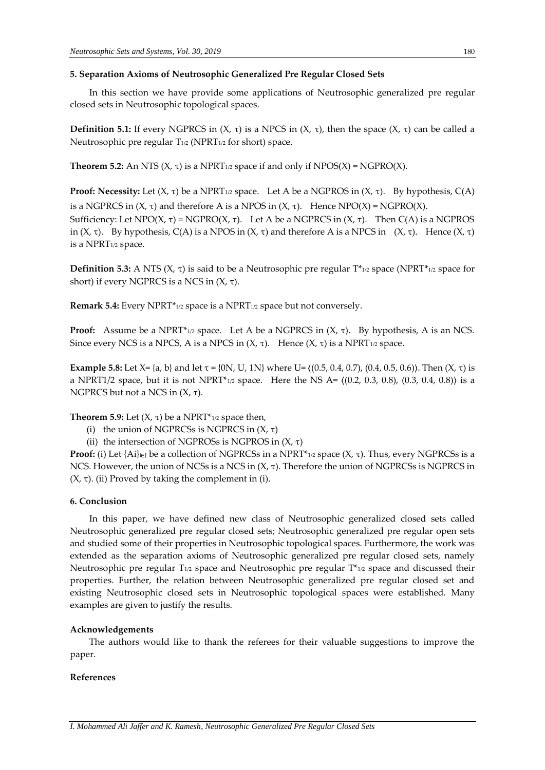#### **5. Separation Axioms of Neutrosophic Generalized Pre Regular Closed Sets**

In this section we have provide some applications of Neutrosophic generalized pre regular closed sets in Neutrosophic topological spaces.

**Definition 5.1:** If every NGPRCS in  $(X, \tau)$  is a NPCS in  $(X, \tau)$ , then the space  $(X, \tau)$  can be called a Neutrosophic pre regular T<sub>1/2</sub> (NPRT<sub>1/2</sub> for short) space.

**Theorem 5.2:** An NTS  $(X, \tau)$  is a NPRT<sub>1/2</sub> space if and only if NPOS $(X)$  = NGPRO $(X)$ .

**Proof: Necessity:** Let  $(X, \tau)$  be a NPRT<sub>1/2</sub> space. Let A be a NGPROS in  $(X, \tau)$ . By hypothesis, C(A) is a NGPRCS in  $(X, \tau)$  and therefore A is a NPOS in  $(X, \tau)$ . Hence NPO $(X)$  = NGPRO $(X)$ . Sufficiency: Let NPO(X, τ) = NGPRO(X, τ). Let A be a NGPRCS in (X, τ). Then C(A) is a NGPROS in (X, τ). By hypothesis, C(A) is a NPOS in (X, τ) and therefore A is a NPCS in (X, τ). Hence (X, τ)

**Definition 5.3:** A NTS ( $X$ ,  $\tau$ ) is said to be a Neutrosophic pre regular  $T^*_{1/2}$  space (NPRT<sup>\*</sup><sub>1/2</sub> space for short) if every NGPRCS is a NCS in  $(X, τ)$ .

**Remark 5.4:** Every NPRT\*1/2 space is a NPRT1/2 space but not conversely.

**Proof:** Assume be a NPRT<sup>\*</sup><sub>1/2</sub> space. Let A be a NGPRCS in  $(X, τ)$ . By hypothesis, A is an NCS. Since every NCS is a NPCS, A is a NPCS in  $(X, τ)$ . Hence  $(X, τ)$  is a NPRT<sub>1/2</sub> space.

**Example 5.8:** Let X= {a, b} and let τ = {0N, U, 1N} where U=  $((0.5, 0.4, 0.7), (0.4, 0.5, 0.6))$ . Then  $(X, τ)$  is a NPRT1/2 space, but it is not NPRT<sup>\*</sup><sub>1/2</sub> space. Here the NS A=  $((0.2, 0.3, 0.8), (0.3, 0.4, 0.8))$  is a NGPRCS but not a NCS in  $(X, τ)$ .

#### **Theorem 5.9:** Let  $(X, \tau)$  be a NPRT<sup>\*</sup><sub>1/2</sub> space then,

- (i) the union of NGPRCSs is NGPRCS in  $(X, \tau)$
- (ii) the intersection of NGPROSs is NGPROS in  $(X, \tau)$

**Proof:** (i) Let {Ai}i∈<sup>J</sup> be a collection of NGPRCSs in a NPRT\*1/2 space (X, τ). Thus, every NGPRCSs is a NCS. However, the union of NCSs is a NCS in  $(X, τ)$ . Therefore the union of NGPRCSs is NGPRCS in (X, τ). (ii) Proved by taking the complement in (i).

#### **6. Conclusion**

is a NPRT1/2 space.

In this paper, we have defined new class of Neutrosophic generalized closed sets called Neutrosophic generalized pre regular closed sets; Neutrosophic generalized pre regular open sets and studied some of their properties in Neutrosophic topological spaces. Furthermore, the work was extended as the separation axioms of Neutrosophic generalized pre regular closed sets, namely Neutrosophic pre regular  $T_{1/2}$  space and Neutrosophic pre regular  $T_{1/2}^*$  space and discussed their properties. Further, the relation between Neutrosophic generalized pre regular closed set and existing Neutrosophic closed sets in Neutrosophic topological spaces were established. Many examples are given to justify the results.

#### **Acknowledgements**

The authors would like to thank the referees for their valuable suggestions to improve the paper.

#### **References**